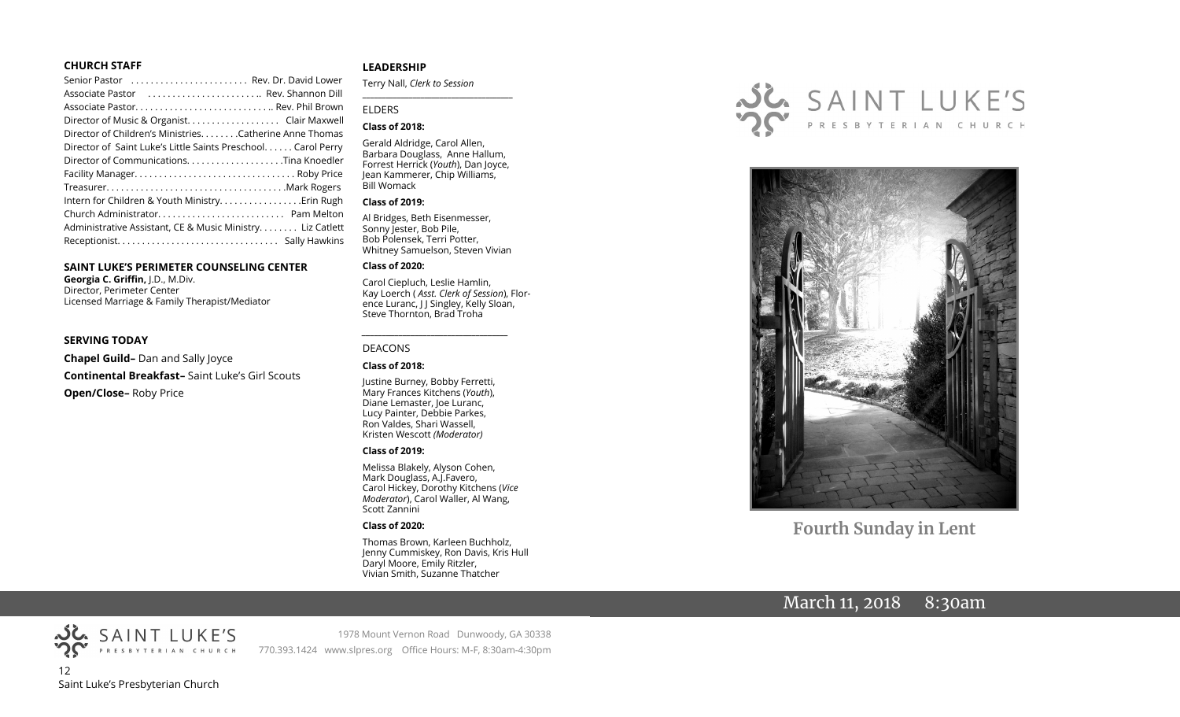#### **CHURCH STAFF**

| Senior Pastor  Rev. Dr. David Lower                          |  |
|--------------------------------------------------------------|--|
| Associate Pastor  Rev. Shannon Dill                          |  |
|                                                              |  |
| Director of Music & Organist. Clair Maxwell                  |  |
| Director of Children's Ministries. Catherine Anne Thomas     |  |
| Director of Saint Luke's Little Saints Preschool Carol Perry |  |
| Director of CommunicationsTina Knoedler                      |  |
|                                                              |  |
|                                                              |  |
|                                                              |  |
|                                                              |  |
| Administrative Assistant, CE & Music Ministry Liz Catlett    |  |
|                                                              |  |
|                                                              |  |

#### **SAINT LUKE'S PERIMETER COUNSELING CENTER**

**Georgia C. Griffin,** J.D., M.Div. Director, Perimeter Center Licensed Marriage & Family Therapist/Mediator

#### **SERVING TODAY**

**Chapel Guild–** Dan and Sally Joyce **Continental Breakfast–** Saint Luke's Girl Scouts **Open/Close–** Roby Price

#### **LEADERSHIP**

Terry Nall, *Clerk to Session* 

#### ELDERS

#### **Class of 2018:**

Gerald Aldridge, Carol Allen, Barbara Douglass, Anne Hallum, Forrest Herrick (*Youth*), Dan Joyce, Jean Kammerer, Chip Williams, Bill Womack

**\_\_\_\_\_\_\_\_\_\_\_\_\_\_\_\_\_\_\_\_\_\_\_\_\_\_\_\_\_\_\_\_\_\_\_\_\_\_\_**

#### **Class of 2019:**

Al Bridges, Beth Eisenmesser, Sonny Jester, Bob Pile, Bob Polensek, Terri Potter, Whitney Samuelson, Steven Vivian

#### **Class of 2020:**

Carol Ciepluch, Leslie Hamlin, Kay Loerch ( *Asst. Clerk of Session*), Florence Luranc, J J Singley, Kelly Sloan, Steve Thornton, Brad Troha

#### DEACONS

#### **Class of 2018:**

Justine Burney, Bobby Ferretti, Mary Frances Kitchens (*Youth*), Diane Lemaster, Joe Luranc, Lucy Painter, Debbie Parkes, Ron Valdes, Shari Wassell, Kristen Wescott *(Moderator)*

*\_\_\_\_\_\_\_\_\_\_\_\_\_\_\_\_\_\_\_\_\_\_\_\_\_\_\_\_\_\_\_\_\_\_\_\_*

#### **Class of 2019:**

Melissa Blakely, Alyson Cohen, Mark Douglass, A.J.Favero, Carol Hickey, Dorothy Kitchens (*Vice Moderator*), Carol Waller, Al Wang, Scott Zannini

#### **Class of 2020:**

Thomas Brown, Karleen Buchholz, Jenny Cummiskey, Ron Davis, Kris Hull Daryl Moore, Emily Ritzler, Vivian Smith, Suzanne Thatcher





**Fourth Sunday in Lent**

## March 11, 2018 8:30am



1978 Mount Vernon Road Dunwoody, GA 30338 770.393.1424 www.slpres.org Office Hours: M-F, 8:30am-4:30pm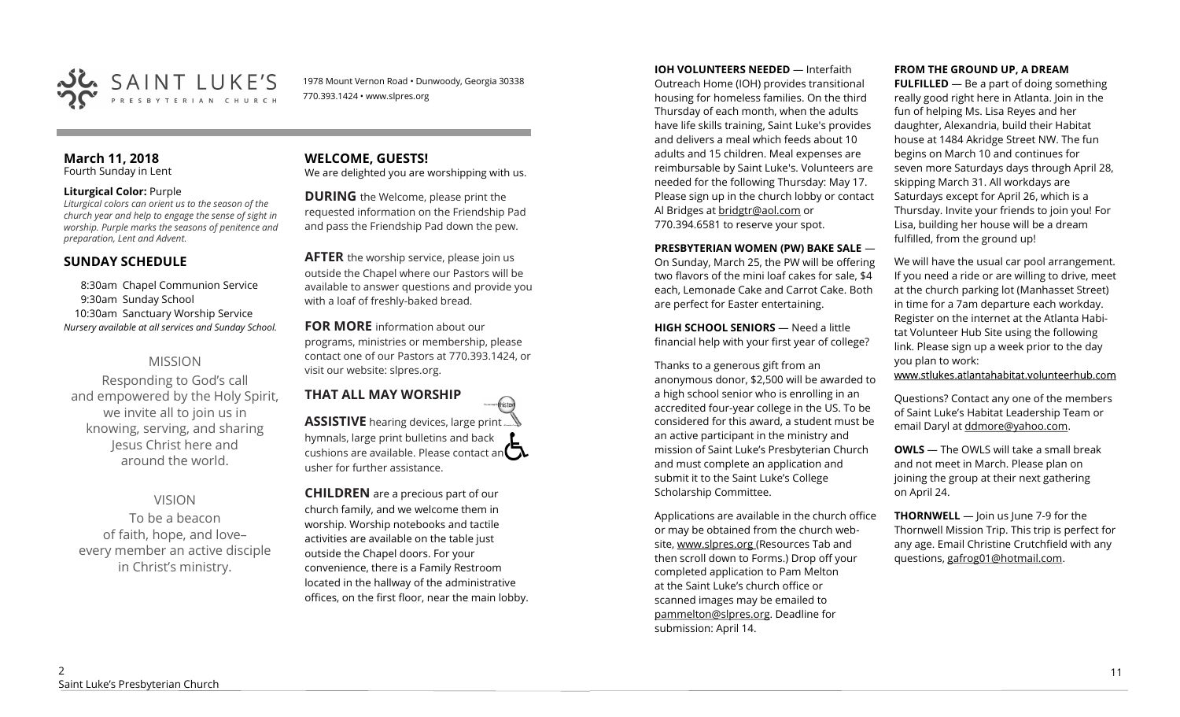

1978 Mount Vernon Road • Dunwoody, Georgia 30338 770.393.1424 • www.slpres.org

#### **March 11, 2018**  Fourth Sunday in Lent

#### **Liturgical Color:** Purple

*Liturgical colors can orient us to the season of the church year and help to engage the sense of sight in worship. Purple marks the seasons of penitence and preparation, Lent and Advent.*

## **SUNDAY SCHEDULE**

8:30am Chapel Communion Service 9:30am Sunday School 10:30am Sanctuary Worship Service *Nursery available at all services and Sunday School.* 

## MISSION

Responding to God's call and empowered by the Holy Spirit, we invite all to join us in knowing, serving, and sharing Jesus Christ here and around the world.

## VISION

To be a beacon of faith, hope, and love– every member an active disciple in Christ's ministry.

# **WELCOME, GUESTS!**

We are delighted you are worshipping with us.

**DURING** the Welcome, please print the requested information on the Friendship Pad and pass the Friendship Pad down the pew.

**AFTER** the worship service, please join us outside the Chapel where our Pastors will be available to answer questions and provide you with a loaf of freshly-baked bread.

**FOR MORE** information about our programs, ministries or membership, please contact one of our Pastors at 770.393.1424, or visit our website: slpres.org.

#### **THAT ALL MAY WORSHIP** thisted **ASSISTIVE** hearing devices, large print... hymnals, large print bulletins and back cushions are available. Please contact an  $\mathbf{\Omega}$ usher for further assistance.

**CHILDREN** are a precious part of our church family, and we welcome them in worship. Worship notebooks and tactile activities are available on the table just outside the Chapel doors. For your convenience, there is a Family Restroom located in the hallway of the administrative offices, on the first floor, near the main lobby. **IOH VOLUNTEERS NEEDED** — Interfaith Outreach Home (IOH) provides transitional housing for homeless families. On the third Thursday of each month, when the adults have life skills training, Saint Luke's provides and delivers a meal which feeds about 10 adults and 15 children. Meal expenses are reimbursable by Saint Luke's. Volunteers are needed for the following Thursday: May 17. Please sign up in the church lobby or contact Al Bridges at [bridgtr@aol.com](mailto:bridgtr@aol.com) or 770.394.6581 to reserve your spot.

#### **PRESBYTERIAN WOMEN (PW) BAKE SALE** —

On Sunday, March 25, the PW will be offering two flavors of the mini loaf cakes for sale, \$4 each, Lemonade Cake and Carrot Cake. Both are perfect for Easter entertaining.

**HIGH SCHOOL SENIORS** — Need a little financial help with your first year of college?

Thanks to a generous gift from an anonymous donor, \$2,500 will be awarded to a high school senior who is enrolling in an accredited four-year college in the US. To be considered for this award, a student must be an active participant in the ministry and mission of Saint Luke's Presbyterian Church and must complete an application and submit it to the Saint Luke's College Scholarship Committee.

Applications are available in the church office or may be obtained from the church website, www.slpres.org (Resources Tab and then scroll down to Forms.) Drop off your completed application to Pam Melton at the Saint Luke's church office or scanned images may be emailed to [pammelton@slpres.org.](mailto:pammelton@slpres.org) Deadline for submission: April 14.

#### **FROM THE GROUND UP, A DREAM**

**FULFILLED** — Be a part of doing something really good right here in Atlanta. Join in the fun of helping Ms. Lisa Reyes and her daughter, Alexandria, build their Habitat house at 1484 Akridge Street NW. The fun begins on March 10 and continues for seven more Saturdays days through April 28, skipping March 31. All workdays are Saturdays except for April 26, which is a Thursday. Invite your friends to join you! For Lisa, building her house will be a dream fulfilled, from the ground up!

We will have the usual car pool arrangement. If you need a ride or are willing to drive, meet at the church parking lot (Manhasset Street) in time for a 7am departure each workday. Register on the internet at the Atlanta Habitat Volunteer Hub Site using the following link. Please sign up a week prior to the day you plan to work:

www.stlukes.atlantahabitat.volunteerhub.com

Questions? Contact any one of the members of Saint Luke's Habitat Leadership Team or email Daryl at ddmore@yahoo.com.

**OWLS** — The OWLS will take a small break and not meet in March. Please plan on joining the group at their next gathering on April 24.

**THORNWELL** — Join us June 7-9 for the Thornwell Mission Trip. This trip is perfect for any age. Email Christine Crutchfield with any questions, gafrog01@hotmail.com.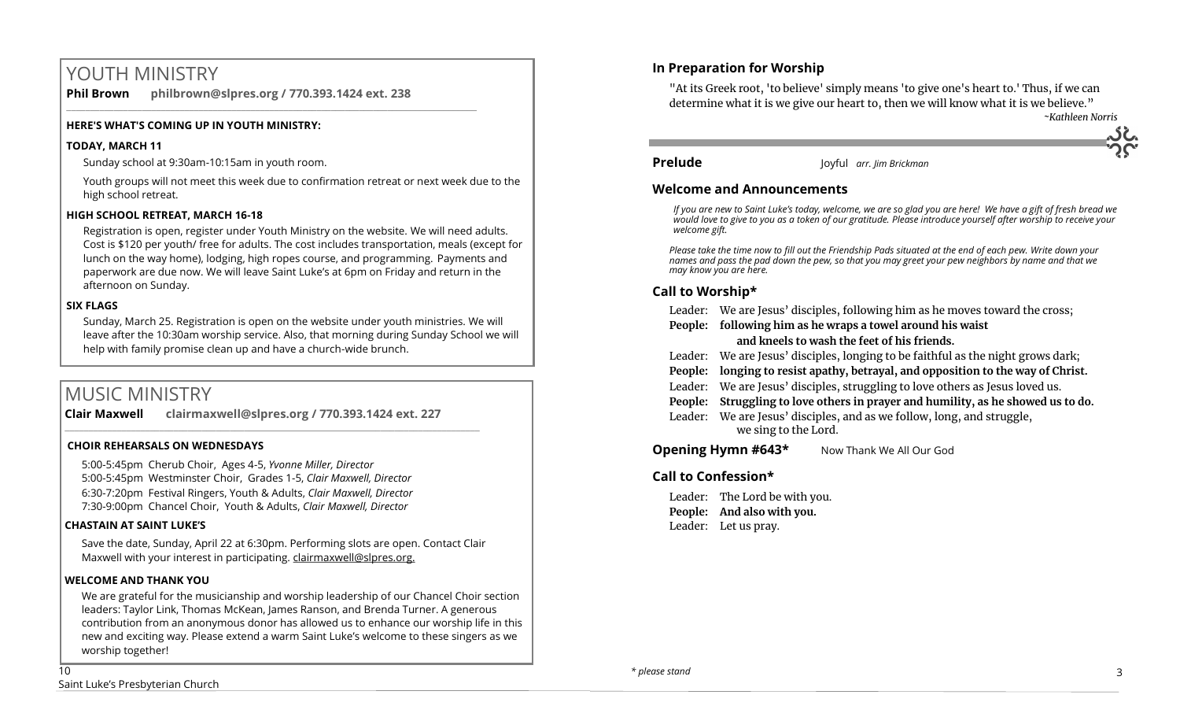# YOUTH MINISTRY

**Phil Brown philbrown@slpres.org / 770.393.1424 ext. 238**  \_\_\_\_\_\_\_\_\_\_\_\_\_\_\_\_\_\_\_\_\_\_\_\_\_\_\_\_\_\_\_\_\_\_\_\_\_\_\_\_\_\_\_\_\_\_\_\_\_\_\_\_\_\_\_\_\_\_\_\_\_\_\_\_\_\_\_\_\_\_\_\_\_\_\_\_\_\_\_\_\_\_\_\_\_\_\_

#### **HERE'S WHAT'S COMING UP IN YOUTH MINISTRY:**

#### **TODAY, MARCH 11**

Sunday school at 9:30am-10:15am in youth room.

Youth groups will not meet this week due to confirmation retreat or next week due to the high school retreat.

#### **HIGH SCHOOL RETREAT, MARCH 16-18**

Registration is open, register under Youth Ministry on the website. We will need adults. Cost is \$120 per youth/ free for adults. The cost includes transportation, meals (except for lunch on the way home), lodging, high ropes course, and programming. Payments and paperwork are due now. We will leave Saint Luke's at 6pm on Friday and return in the afternoon on Sunday.

#### **SIX FLAGS**

Sunday, March 25. Registration is open on the website under youth ministries. We will leave after the 10:30am worship service. Also, that morning during Sunday School we will help with family promise clean up and have a church-wide brunch.

# MUSIC MINISTRY

**Clair Maxwell clairmaxwell@slpres.org / 770.393.1424 ext. 227** 

#### **CHOIR REHEARSALS ON WEDNESDAYS**

5:00-5:45pm Cherub Choir, Ages 4-5, *Yvonne Miller, Director*  5:00-5:45pm Westminster Choir, Grades 1-5, *Clair Maxwell, Director*  6:30-7:20pm Festival Ringers, Youth & Adults, *Clair Maxwell, Director*  7:30-9:00pm Chancel Choir, Youth & Adults, *Clair Maxwell, Director* 

 $\_$  , and the set of the set of the set of the set of the set of the set of the set of the set of the set of the set of the set of the set of the set of the set of the set of the set of the set of the set of the set of th

#### **CHASTAIN AT SAINT LUKE'S**

Save the date, Sunday, April 22 at 6:30pm. Performing slots are open. Contact Clair Maxwell with your interest in participating. clairmaxwell@slpres.org.

#### **WELCOME AND THANK YOU**

We are grateful for the musicianship and worship leadership of our Chancel Choir section leaders: Taylor Link, Thomas McKean, James Ranson, and Brenda Turner. A generous contribution from an anonymous donor has allowed us to enhance our worship life in this new and exciting way. Please extend a warm Saint Luke's welcome to these singers as we worship together!

## **In Preparation for Worship**

"At its Greek root, 'to believe' simply means 'to give one's heart to.' Thus, if we can determine what it is we give our heart to, then we will know what it is we believe."



**Prelude** Joyful *arr. Jim Brickman*

### **Welcome and Announcements**

*If you are new to Saint Luke's today, welcome, we are so glad you are here! We have a gift of fresh bread we would love to give to you as a token of our gratitude. Please introduce yourself after worship to receive your welcome gift.*

*Please take the time now to fill out the Friendship Pads situated at the end of each pew. Write down your names and pass the pad down the pew, so that you may greet your pew neighbors by name and that we may know you are here.*

## **Call to Worship\***

Leader: We are Jesus' disciples, following him as he moves toward the cross;

**People: following him as he wraps a towel around his waist** 

### **and kneels to wash the feet of his friends.**

Leader: We are Jesus' disciples, longing to be faithful as the night grows dark;

**People: longing to resist apathy, betrayal, and opposition to the way of Christ.**

- Leader: We are Jesus' disciples, struggling to love others as Jesus loved us.
- **People: Struggling to love others in prayer and humility, as he showed us to do.**

Leader: We are Jesus' disciples, and as we follow, long, and struggle, we sing to the Lord.

**Opening Hymn #643\*** Now Thank We All Our God

## **Call to Confession\***

Leader: The Lord be with you. **People: And also with you.** Leader: Let us pray.

10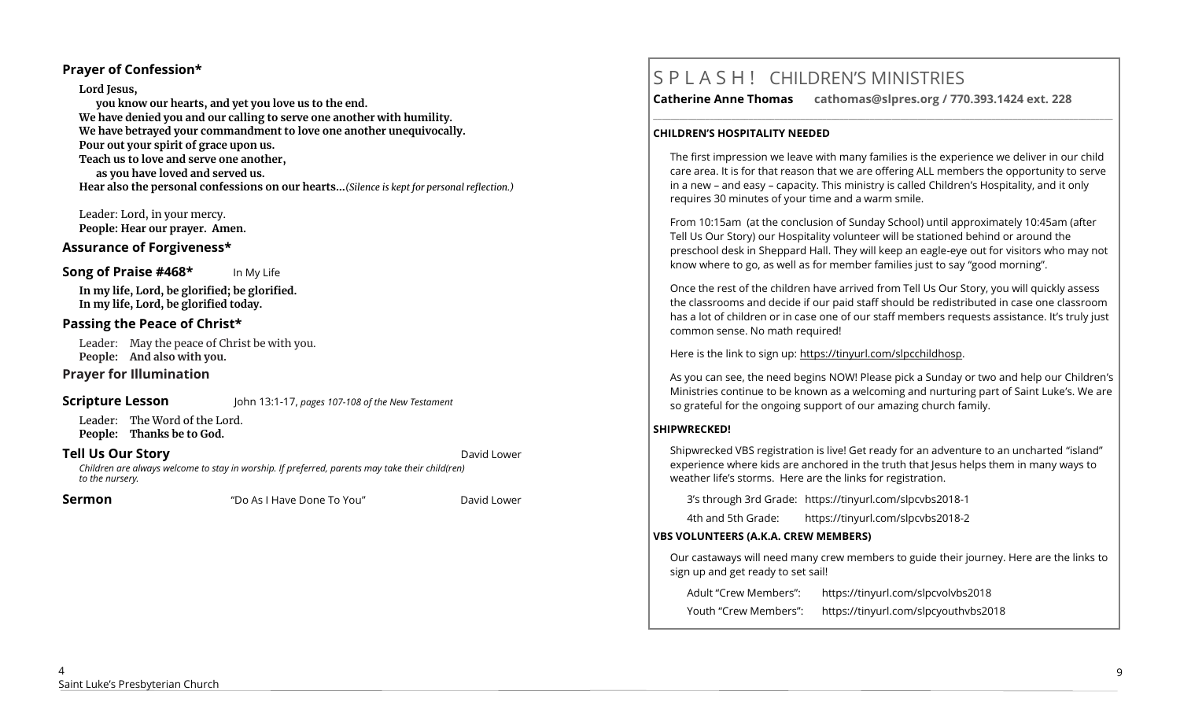## **Prayer of Confession\***

#### **Lord Jesus,**

**you know our hearts, and yet you love us to the end. We have denied you and our calling to serve one another with humility. We have betrayed your commandment to love one another unequivocally. Pour out your spirit of grace upon us. Teach us to love and serve one another, as you have loved and served us. Hear also the personal confessions on our hearts…***(Silence is kept for personal reflection.)*

Leader: Lord, in your mercy. **People: Hear our prayer. Amen.**

### **Assurance of Forgiveness\***

#### **Song of Praise #468\*** In My Life

**In my life, Lord, be glorified; be glorified. In my life, Lord, be glorified today.** 

### **Passing the Peace of Christ\***

Leader: May the peace of Christ be with you. **People: And also with you.** 

#### **Prayer for Illumination**

#### **Scripture Lesson** John 13:1-17, *pages 107-108 of the New Testament*

Leader: The Word of the Lord. **People: Thanks be to God.**

#### **Tell Us Our Story Community Community Community Community Community Community Community Community Community Community Community Community Community Community Community Community Community Community Community Community Com**

*Children are always welcome to stay in worship. If preferred, parents may take their child(ren) to the nursery.*

**Sermon Example 2 CONDUCT CONDUCT CONDUCT DAVID CONDUCT DAVID ASSAUGHT ASSAUGHT ASSAUGHT ASSAUGHT ASSAUGHT ASSAUGHT ASSAUGHT ASSAUGHT ASSAUGHT ASSAUGHT ASSAUGHT ASSAUGHT ASSAUGHT ASSAUGHT ASSAUGHT ASSAUGHT ASSA** 

# S P L A S H ! CHILDREN'S MINISTRIES

**Catherine Anne Thomas cathomas@slpres.org / 770.393.1424 ext. 228** 

#### **CHILDREN'S HOSPITALITY NEEDED**

The first impression we leave with many families is the experience we deliver in our child care area. It is for that reason that we are offering ALL members the opportunity to serve in a new – and easy – capacity. This ministry is called Children's Hospitality, and it only requires 30 minutes of your time and a warm smile.

**\_\_\_\_\_\_\_\_\_\_\_\_\_\_\_\_\_\_\_\_\_\_\_\_\_\_\_\_\_\_\_\_\_\_\_\_\_\_\_\_\_\_\_\_\_\_\_\_\_\_\_\_\_\_\_\_\_\_\_\_\_\_\_\_\_\_\_\_\_\_\_\_\_\_\_\_\_\_\_\_\_\_\_\_\_\_\_\_\_\_\_\_\_\_\_\_\_\_\_\_\_\_\_\_\_\_** 

From 10:15am (at the conclusion of Sunday School) until approximately 10:45am (after Tell Us Our Story) our Hospitality volunteer will be stationed behind or around the preschool desk in Sheppard Hall. They will keep an eagle-eye out for visitors who may not know where to go, as well as for member families just to say "good morning".

Once the rest of the children have arrived from Tell Us Our Story, you will quickly assess the classrooms and decide if our paid staff should be redistributed in case one classroom has a lot of children or in case one of our staff members requests assistance. It's truly just common sense. No math required!

Here is the link to sign up: https://tinyurl.com/slpcchildhosp.

As you can see, the need begins NOW! Please pick a Sunday or two and help our Children's Ministries continue to be known as a welcoming and nurturing part of Saint Luke's. We are so grateful for the ongoing support of our amazing church family.

#### **SHIPWRECKED!**

Shipwrecked VBS registration is live! Get ready for an adventure to an uncharted "island" experience where kids are anchored in the truth that Jesus helps them in many ways to weather life's storms. Here are the links for registration.

3's through 3rd Grade: https://tinyurl.com/slpcvbs2018-1

4th and 5th Grade: https://tinyurl.com/slpcvbs2018-2

#### **VBS VOLUNTEERS (A.K.A. CREW MEMBERS)**

Our castaways will need many crew members to guide their journey. Here are the links to sign up and get ready to set sail!

Adult "Crew Members": https://tinyurl.com/slpcvolvbs2018

Youth "Crew Members": https://tinyurl.com/slpcyouthvbs2018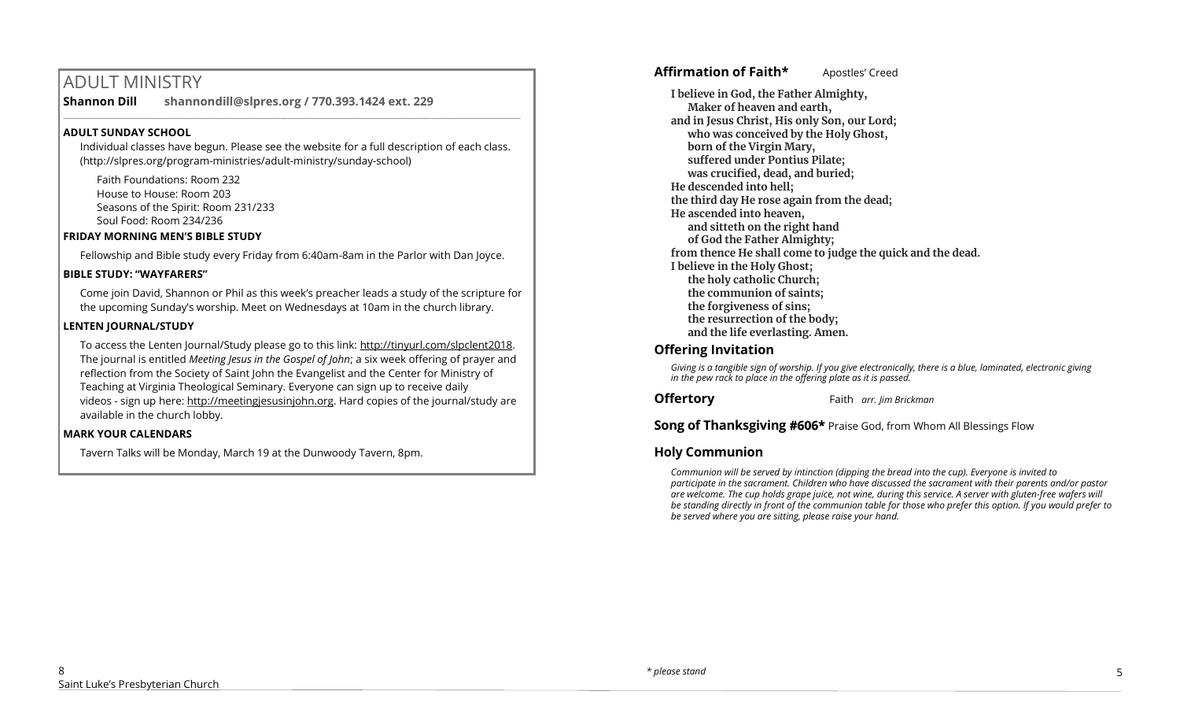# ADULT MINISTRY

**Shannon Dill shannondill@slpres.org / 770.393.1424 ext. 229**   $\mathcal{L}_\mathcal{L} = \mathcal{L}_\mathcal{L} = \mathcal{L}_\mathcal{L} = \mathcal{L}_\mathcal{L} = \mathcal{L}_\mathcal{L} = \mathcal{L}_\mathcal{L} = \mathcal{L}_\mathcal{L} = \mathcal{L}_\mathcal{L} = \mathcal{L}_\mathcal{L} = \mathcal{L}_\mathcal{L} = \mathcal{L}_\mathcal{L} = \mathcal{L}_\mathcal{L} = \mathcal{L}_\mathcal{L} = \mathcal{L}_\mathcal{L} = \mathcal{L}_\mathcal{L} = \mathcal{L}_\mathcal{L} = \mathcal{L}_\mathcal{L}$ 

#### **ADULT SUNDAY SCHOOL**

Individual classes have begun. Please see the website for a full description of each class. (http://slpres.org/program-ministries/adult-ministry/sunday-school)

Faith Foundations: Room 232 House to House: Room 203 Seasons of the Spirit: Room 231/233 Soul Food: Room 234/236

#### **FRIDAY MORNING MEN'S BIBLE STUDY**

Fellowship and Bible study every Friday from 6:40am-8am in the Parlor with Dan Joyce.

#### **BIBLE STUDY: "WAYFARERS"**

Come join David, Shannon or Phil as this week's preacher leads a study of the scripture for the upcoming Sunday's worship. Meet on Wednesdays at 10am in the church library.

#### **LENTEN JOURNAL/STUDY**

To access the Lenten Journal/Study please go to this link: http://tinyurl.com/slpclent2018. The journal is entitled *Meeting Jesus in the Gospel of John*; a six week offering of prayer and reflection from the Society of Saint John the Evangelist and the Center for Ministry of Teaching at Virginia Theological Seminary. Everyone can sign up to receive daily videos - sign up here: [http://meetingjesusinjohn.org.](http://meetingjesusinjohn.org/) Hard copies of the journal/study are available in the church lobby.

#### **MARK YOUR CALENDARS**

Tavern Talks will be Monday, March 19 at the Dunwoody Tavern, 8pm.

## **Affirmation of Faith\*** Apostles' Creed

**I believe in God, the Father Almighty, Maker of heaven and earth, and in Jesus Christ, His only Son, our Lord; who was conceived by the Holy Ghost, born of the Virgin Mary, suffered under Pontius Pilate; was crucified, dead, and buried; He descended into hell; the third day He rose again from the dead; He ascended into heaven, and sitteth on the right hand of God the Father Almighty; from thence He shall come to judge the quick and the dead. I believe in the Holy Ghost; the holy catholic Church; the communion of saints; the forgiveness of sins; the resurrection of the body; and the life everlasting. Amen.**

## **Offering Invitation**

*Giving is a tangible sign of worship. If you give electronically, there is a blue, laminated, electronic giving in the pew rack to place in the offering plate as it is passed.*

**Offertory** Faith *arr. Jim Brickman*

**Song of Thanksgiving #606\*** Praise God, from Whom All Blessings Flow

## **Holy Communion**

*Communion will be served by intinction (dipping the bread into the cup). Everyone is invited to participate in the sacrament. Children who have discussed the sacrament with their parents and/or pastor are welcome. The cup holds grape juice, not wine, during this service. A server with gluten-free wafers will be standing directly in front of the communion table for those who prefer this option. If you would prefer to be served where you are sitting, please raise your hand.*